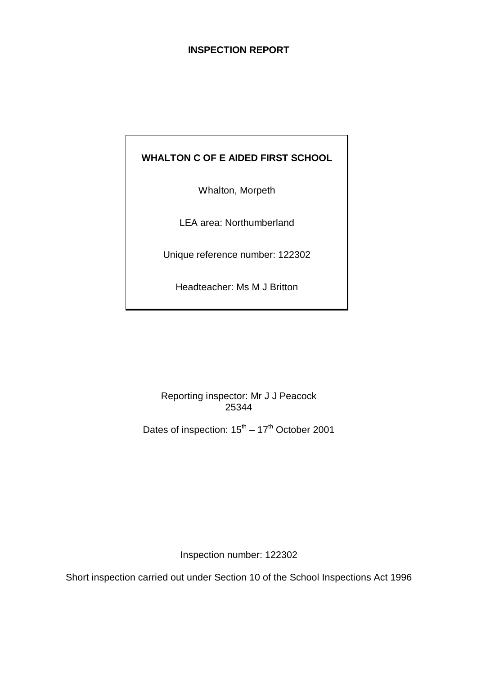# **INSPECTION REPORT**

# **WHALTON C OF E AIDED FIRST SCHOOL**

Whalton, Morpeth

LEA area: Northumberland

Unique reference number: 122302

Headteacher: Ms M J Britton

Reporting inspector: Mr J J Peacock 25344

Dates of inspection:  $15^{th} - 17^{th}$  October 2001

Inspection number: 122302

Short inspection carried out under Section 10 of the School Inspections Act 1996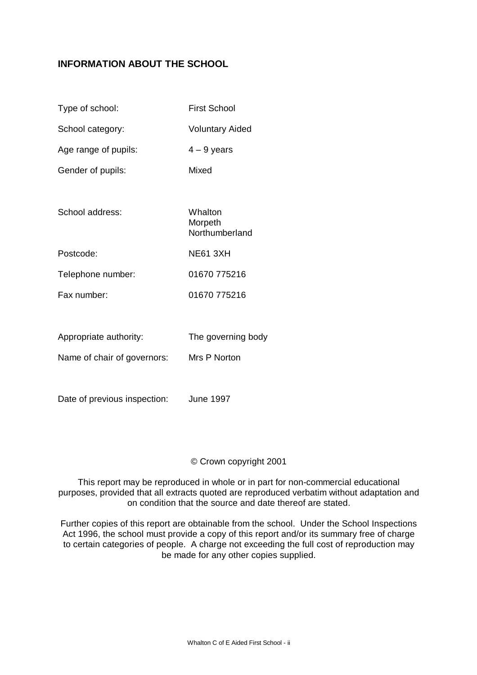# **INFORMATION ABOUT THE SCHOOL**

| Type of school:             | <b>First School</b>                  |
|-----------------------------|--------------------------------------|
| School category:            | <b>Voluntary Aided</b>               |
| Age range of pupils:        | $4 - 9$ years                        |
| Gender of pupils:           | Mixed                                |
|                             |                                      |
| School address:             | Whalton<br>Morpeth<br>Northumberland |
| Postcode:                   | <b>NE61 3XH</b>                      |
| Telephone number:           | 01670 775216                         |
| Fax number:                 | 01670 775216                         |
|                             |                                      |
| Appropriate authority:      | The governing body                   |
| Name of chair of governors: | Mrs P Norton                         |
|                             |                                      |

Date of previous inspection: June 1997

#### © Crown copyright 2001

This report may be reproduced in whole or in part for non-commercial educational purposes, provided that all extracts quoted are reproduced verbatim without adaptation and on condition that the source and date thereof are stated.

Further copies of this report are obtainable from the school. Under the School Inspections Act 1996, the school must provide a copy of this report and/or its summary free of charge to certain categories of people. A charge not exceeding the full cost of reproduction may be made for any other copies supplied.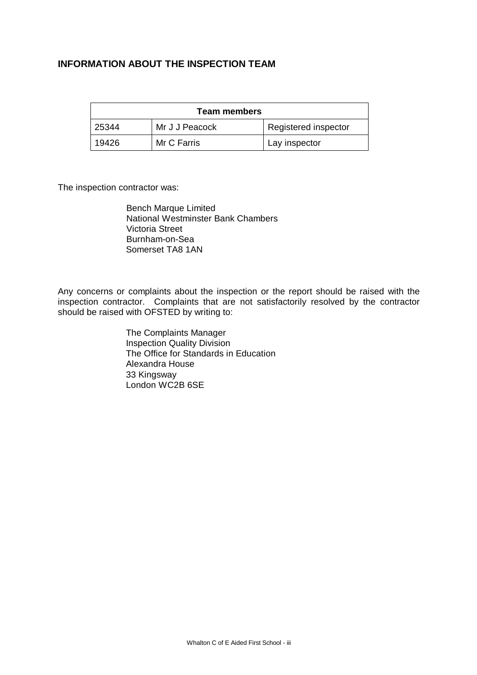# **INFORMATION ABOUT THE INSPECTION TEAM**

| <b>Team members</b> |                |                      |  |  |
|---------------------|----------------|----------------------|--|--|
| 25344               | Mr J J Peacock | Registered inspector |  |  |
| 19426               | Mr C Farris    | Lay inspector        |  |  |

The inspection contractor was:

Bench Marque Limited National Westminster Bank Chambers Victoria Street Burnham-on-Sea Somerset TA8 1AN

Any concerns or complaints about the inspection or the report should be raised with the inspection contractor. Complaints that are not satisfactorily resolved by the contractor should be raised with OFSTED by writing to:

> The Complaints Manager Inspection Quality Division The Office for Standards in Education Alexandra House 33 Kingsway London WC2B 6SE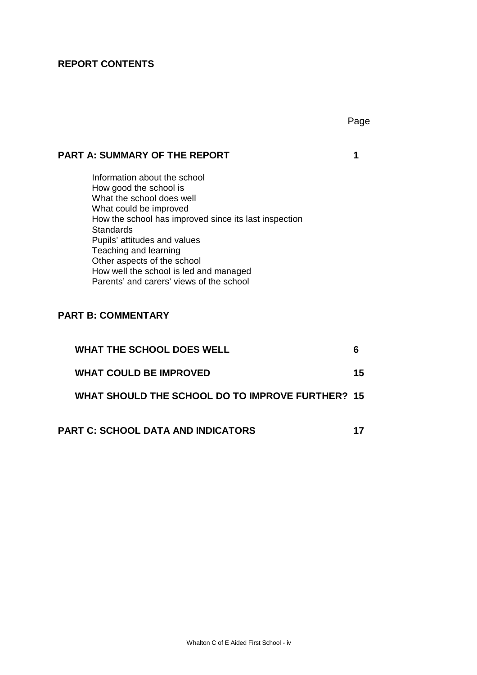# **REPORT CONTENTS**

# **PART A: SUMMARY OF THE REPORT 1**

Information about the school How good the school is What the school does well What could be improved How the school has improved since its last inspection **Standards** Pupils' attitudes and values Teaching and learning Other aspects of the school How well the school is led and managed Parents' and carers' views of the school

# **PART B: COMMENTARY**

| <b>WHAT THE SCHOOL DOES WELL</b>                 |    |
|--------------------------------------------------|----|
| <b>WHAT COULD BE IMPROVED</b>                    | 15 |
| WHAT SHOULD THE SCHOOL DO TO IMPROVE FURTHER? 15 |    |
| <b>PART C: SCHOOL DATA AND INDICATORS</b>        |    |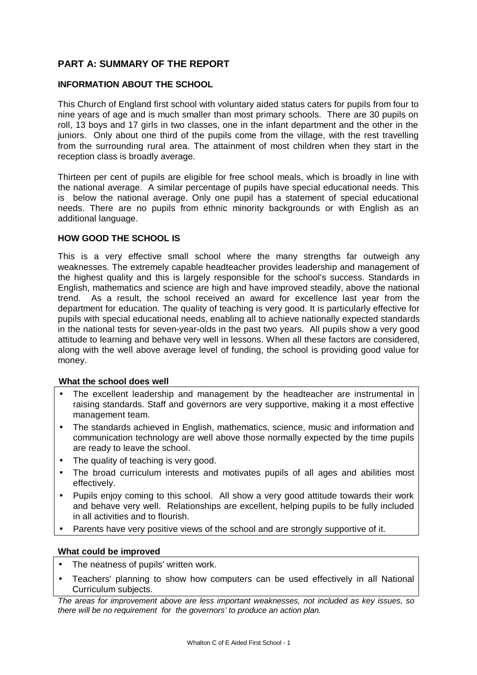# **PART A: SUMMARY OF THE REPORT**

#### **INFORMATION ABOUT THE SCHOOL**

This Church of England first school with voluntary aided status caters for pupils from four to nine years of age and is much smaller than most primary schools. There are 30 pupils on roll, 13 boys and 17 girls in two classes, one in the infant department and the other in the juniors. Only about one third of the pupils come from the village, with the rest travelling from the surrounding rural area. The attainment of most children when they start in the reception class is broadly average.

Thirteen per cent of pupils are eligible for free school meals, which is broadly in line with the national average. A similar percentage of pupils have special educational needs. This is below the national average. Only one pupil has a statement of special educational needs. There are no pupils from ethnic minority backgrounds or with English as an additional language.

#### **HOW GOOD THE SCHOOL IS**

This is a very effective small school where the many strengths far outweigh any weaknesses. The extremely capable headteacher provides leadership and management of the highest quality and this is largely responsible for the school's success. Standards in English, mathematics and science are high and have improved steadily, above the national trend. As a result, the school received an award for excellence last year from the department for education. The quality of teaching is very good. It is particularly effective for pupils with special educational needs, enabling all to achieve nationally expected standards in the national tests for seven-year-olds in the past two years. All pupils show a very good attitude to learning and behave very well in lessons. When all these factors are considered, along with the well above average level of funding, the school is providing good value for money.

#### **What the school does well**

- The excellent leadership and management by the headteacher are instrumental in raising standards. Staff and governors are very supportive, making it a most effective management team.
- The standards achieved in English, mathematics, science, music and information and communication technology are well above those normally expected by the time pupils are ready to leave the school.
- The quality of teaching is very good.
- The broad curriculum interests and motivates pupils of all ages and abilities most effectively.
- Pupils enjoy coming to this school. All show a very good attitude towards their work and behave very well. Relationships are excellent, helping pupils to be fully included in all activities and to flourish.
- Parents have very positive views of the school and are strongly supportive of it.

#### **What could be improved**

- The neatness of pupils' written work.
- Teachers' planning to show how computers can be used effectively in all National Curriculum subjects.

*The areas for improvement above are less important weaknesses, not included as key issues, so there will be no requirement for the governors' to produce an action plan.*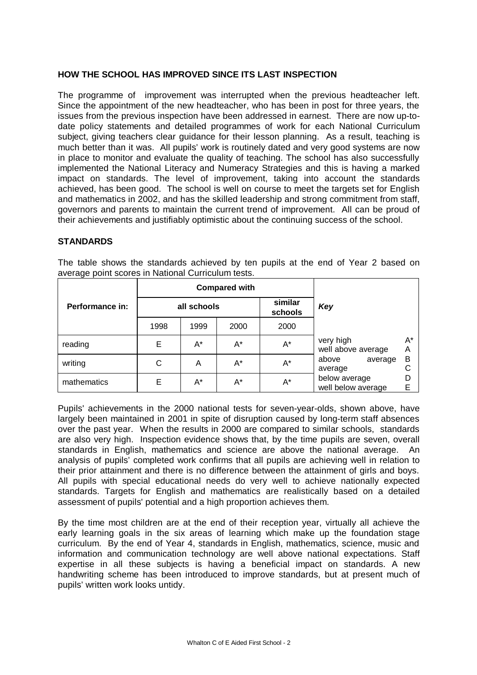#### **HOW THE SCHOOL HAS IMPROVED SINCE ITS LAST INSPECTION**

The programme of improvement was interrupted when the previous headteacher left. Since the appointment of the new headteacher, who has been in post for three years, the issues from the previous inspection have been addressed in earnest. There are now up-todate policy statements and detailed programmes of work for each National Curriculum subject, giving teachers clear guidance for their lesson planning. As a result, teaching is much better than it was. All pupils' work is routinely dated and very good systems are now in place to monitor and evaluate the quality of teaching. The school has also successfully implemented the National Literacy and Numeracy Strategies and this is having a marked impact on standards. The level of improvement, taking into account the standards achieved, has been good. The school is well on course to meet the targets set for English and mathematics in 2002, and has the skilled leadership and strong commitment from staff, governors and parents to maintain the current trend of improvement. All can be proud of their achievements and justifiably optimistic about the continuing success of the school.

#### **STANDARDS**

|                 |                        | <b>Compared with</b> |         |       |                                     |         |
|-----------------|------------------------|----------------------|---------|-------|-------------------------------------|---------|
| Performance in: | similar<br>all schools |                      | schools | Key   |                                     |         |
|                 | 1998                   | 1999                 | 2000    | 2000  |                                     |         |
| reading         | Е                      | A*                   | A*      | A*    | very high<br>well above average     | A*<br>Α |
| writing         | С                      | Α                    | A*      | $A^*$ | above<br>average<br>average         | B<br>С  |
| mathematics     | E                      | A*                   | A*      | A*    | below average<br>well below average | D<br>E  |

The table shows the standards achieved by ten pupils at the end of Year 2 based on average point scores in National Curriculum tests.

Pupils' achievements in the 2000 national tests for seven-year-olds, shown above, have largely been maintained in 2001 in spite of disruption caused by long-term staff absences over the past year. When the results in 2000 are compared to similar schools, standards are also very high. Inspection evidence shows that, by the time pupils are seven, overall standards in English, mathematics and science are above the national average. An analysis of pupils' completed work confirms that all pupils are achieving well in relation to their prior attainment and there is no difference between the attainment of girls and boys. All pupils with special educational needs do very well to achieve nationally expected standards. Targets for English and mathematics are realistically based on a detailed assessment of pupils' potential and a high proportion achieves them.

By the time most children are at the end of their reception year, virtually all achieve the early learning goals in the six areas of learning which make up the foundation stage curriculum. By the end of Year 4, standards in English, mathematics, science, music and information and communication technology are well above national expectations. Staff expertise in all these subjects is having a beneficial impact on standards. A new handwriting scheme has been introduced to improve standards, but at present much of pupils' written work looks untidy.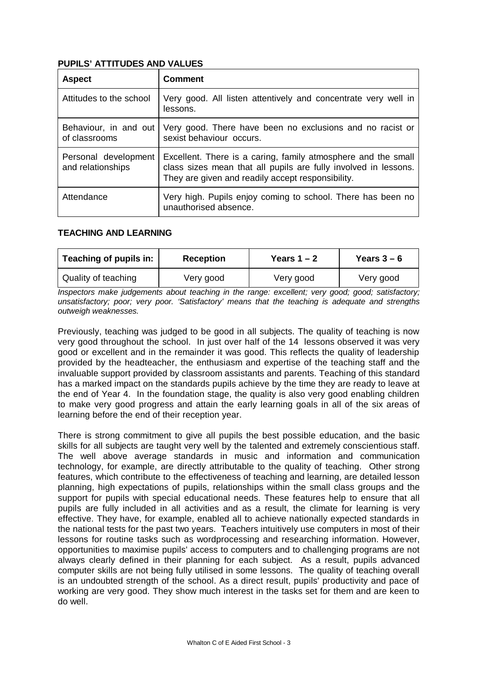#### **PUPILS' ATTITUDES AND VALUES**

| <b>Aspect</b>                             | <b>Comment</b>                                                                                                                                                                        |
|-------------------------------------------|---------------------------------------------------------------------------------------------------------------------------------------------------------------------------------------|
| Attitudes to the school                   | Very good. All listen attentively and concentrate very well in<br>lessons.                                                                                                            |
| Behaviour, in and out<br>of classrooms    | Very good. There have been no exclusions and no racist or<br>sexist behaviour occurs.                                                                                                 |
| Personal development<br>and relationships | Excellent. There is a caring, family atmosphere and the small<br>class sizes mean that all pupils are fully involved in lessons.<br>They are given and readily accept responsibility. |
| Attendance                                | Very high. Pupils enjoy coming to school. There has been no<br>unauthorised absence.                                                                                                  |

### **TEACHING AND LEARNING**

| Teaching of pupils in:<br><b>Reception</b> |           | Years $1 - 2$ | Years $3-6$ |
|--------------------------------------------|-----------|---------------|-------------|
| Quality of teaching                        | Very good | Very good     | Very good   |

*Inspectors make judgements about teaching in the range: excellent; very good; good; satisfactory; unsatisfactory; poor; very poor. 'Satisfactory' means that the teaching is adequate and strengths outweigh weaknesses.*

Previously, teaching was judged to be good in all subjects. The quality of teaching is now very good throughout the school. In just over half of the 14 lessons observed it was very good or excellent and in the remainder it was good. This reflects the quality of leadership provided by the headteacher, the enthusiasm and expertise of the teaching staff and the invaluable support provided by classroom assistants and parents. Teaching of this standard has a marked impact on the standards pupils achieve by the time they are ready to leave at the end of Year 4. In the foundation stage, the quality is also very good enabling children to make very good progress and attain the early learning goals in all of the six areas of learning before the end of their reception year.

There is strong commitment to give all pupils the best possible education, and the basic skills for all subjects are taught very well by the talented and extremely conscientious staff. The well above average standards in music and information and communication technology, for example, are directly attributable to the quality of teaching. Other strong features, which contribute to the effectiveness of teaching and learning, are detailed lesson planning, high expectations of pupils, relationships within the small class groups and the support for pupils with special educational needs. These features help to ensure that all pupils are fully included in all activities and as a result, the climate for learning is very effective. They have, for example, enabled all to achieve nationally expected standards in the national tests for the past two years. Teachers intuitively use computers in most of their lessons for routine tasks such as wordprocessing and researching information. However, opportunities to maximise pupils' access to computers and to challenging programs are not always clearly defined in their planning for each subject. As a result, pupils advanced computer skills are not being fully utilised in some lessons. The quality of teaching overall is an undoubted strength of the school. As a direct result, pupils' productivity and pace of working are very good. They show much interest in the tasks set for them and are keen to do well.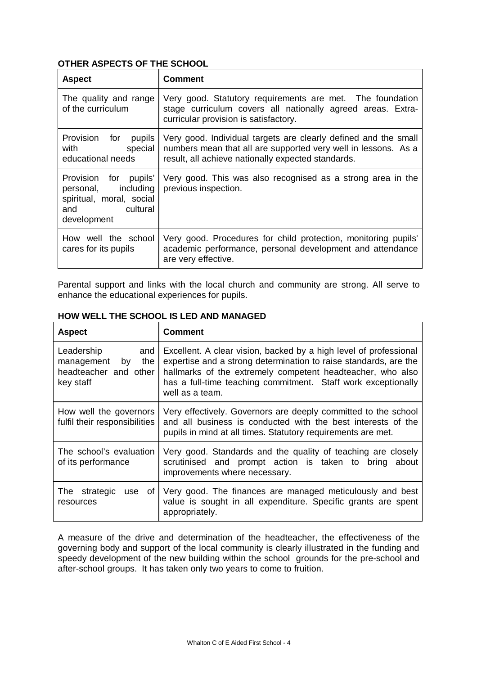### **OTHER ASPECTS OF THE SCHOOL**

| <b>Aspect</b>                                                                                              | <b>Comment</b>                                                                                                                                                                          |  |  |
|------------------------------------------------------------------------------------------------------------|-----------------------------------------------------------------------------------------------------------------------------------------------------------------------------------------|--|--|
| The quality and range<br>of the curriculum                                                                 | Very good. Statutory requirements are met. The foundation<br>stage curriculum covers all nationally agreed areas. Extra-<br>curricular provision is satisfactory.                       |  |  |
| Provision for<br>pupils<br>special<br>with<br>educational needs                                            | Very good. Individual targets are clearly defined and the small<br>numbers mean that all are supported very well in lessons. As a<br>result, all achieve nationally expected standards. |  |  |
| Provision for pupils'<br>including<br>personal,<br>spiritual, moral, social<br>and cultural<br>development | Very good. This was also recognised as a strong area in the<br>previous inspection.                                                                                                     |  |  |
| How well the school<br>cares for its pupils                                                                | Very good. Procedures for child protection, monitoring pupils'<br>academic performance, personal development and attendance<br>are very effective.                                      |  |  |

Parental support and links with the local church and community are strong. All serve to enhance the educational experiences for pupils.

| <b>Aspect</b>                                                                      | <b>Comment</b>                                                                                                                                                                                                                                                                          |
|------------------------------------------------------------------------------------|-----------------------------------------------------------------------------------------------------------------------------------------------------------------------------------------------------------------------------------------------------------------------------------------|
| Leadership<br>and<br>management<br>the<br>by<br>headteacher and other<br>key staff | Excellent. A clear vision, backed by a high level of professional<br>expertise and a strong determination to raise standards, are the<br>hallmarks of the extremely competent headteacher, who also<br>has a full-time teaching commitment. Staff work exceptionally<br>well as a team. |
| How well the governors<br>fulfil their responsibilities                            | Very effectively. Governors are deeply committed to the school<br>and all business is conducted with the best interests of the<br>pupils in mind at all times. Statutory requirements are met.                                                                                          |
| The school's evaluation<br>of its performance                                      | Very good. Standards and the quality of teaching are closely<br>scrutinised and prompt action is taken to bring about<br>improvements where necessary.                                                                                                                                  |
| The<br>strategic<br>0f<br>use<br>resources                                         | Very good. The finances are managed meticulously and best<br>value is sought in all expenditure. Specific grants are spent<br>appropriately.                                                                                                                                            |

#### **HOW WELL THE SCHOOL IS LED AND MANAGED**

A measure of the drive and determination of the headteacher, the effectiveness of the governing body and support of the local community is clearly illustrated in the funding and speedy development of the new building within the school grounds for the pre-school and after-school groups. It has taken only two years to come to fruition.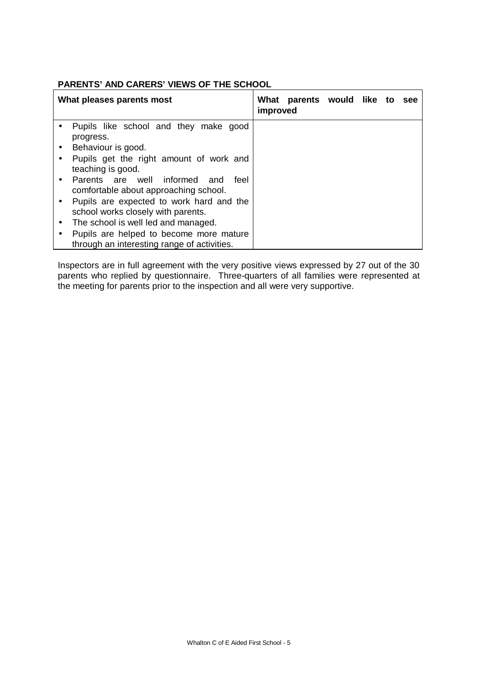#### **PARENTS' AND CARERS' VIEWS OF THE SCHOOL**

| What pleases parents most                   | What<br>improved | parents would like to |  | see |
|---------------------------------------------|------------------|-----------------------|--|-----|
| Pupils like school and they make good       |                  |                       |  |     |
| progress.                                   |                  |                       |  |     |
| Behaviour is good.                          |                  |                       |  |     |
| Pupils get the right amount of work and     |                  |                       |  |     |
| teaching is good.                           |                  |                       |  |     |
| Parents are well informed and<br>teel       |                  |                       |  |     |
| comfortable about approaching school.       |                  |                       |  |     |
| Pupils are expected to work hard and the    |                  |                       |  |     |
| school works closely with parents.          |                  |                       |  |     |
| The school is well led and managed.         |                  |                       |  |     |
| Pupils are helped to become more mature     |                  |                       |  |     |
| through an interesting range of activities. |                  |                       |  |     |

Inspectors are in full agreement with the very positive views expressed by 27 out of the 30 parents who replied by questionnaire. Three-quarters of all families were represented at the meeting for parents prior to the inspection and all were very supportive.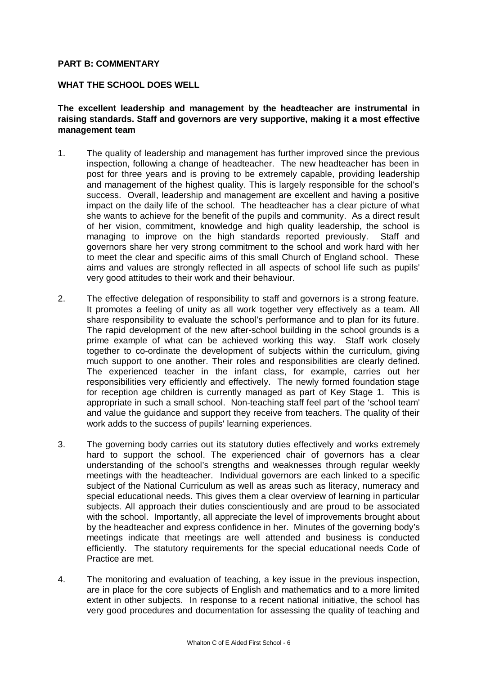#### **PART B: COMMENTARY**

#### **WHAT THE SCHOOL DOES WELL**

**The excellent leadership and management by the headteacher are instrumental in raising standards. Staff and governors are very supportive, making it a most effective management team**

- 1. The quality of leadership and management has further improved since the previous inspection, following a change of headteacher. The new headteacher has been in post for three years and is proving to be extremely capable, providing leadership and management of the highest quality. This is largely responsible for the school's success. Overall, leadership and management are excellent and having a positive impact on the daily life of the school. The headteacher has a clear picture of what she wants to achieve for the benefit of the pupils and community. As a direct result of her vision, commitment, knowledge and high quality leadership, the school is managing to improve on the high standards reported previously. Staff and governors share her very strong commitment to the school and work hard with her to meet the clear and specific aims of this small Church of England school. These aims and values are strongly reflected in all aspects of school life such as pupils' very good attitudes to their work and their behaviour.
- 2. The effective delegation of responsibility to staff and governors is a strong feature. It promotes a feeling of unity as all work together very effectively as a team. All share responsibility to evaluate the school's performance and to plan for its future. The rapid development of the new after-school building in the school grounds is a prime example of what can be achieved working this way. Staff work closely together to co-ordinate the development of subjects within the curriculum, giving much support to one another. Their roles and responsibilities are clearly defined. The experienced teacher in the infant class, for example, carries out her responsibilities very efficiently and effectively. The newly formed foundation stage for reception age children is currently managed as part of Key Stage 1. This is appropriate in such a small school. Non-teaching staff feel part of the 'school team' and value the guidance and support they receive from teachers. The quality of their work adds to the success of pupils' learning experiences.
- 3. The governing body carries out its statutory duties effectively and works extremely hard to support the school. The experienced chair of governors has a clear understanding of the school's strengths and weaknesses through regular weekly meetings with the headteacher. Individual governors are each linked to a specific subject of the National Curriculum as well as areas such as literacy, numeracy and special educational needs. This gives them a clear overview of learning in particular subjects. All approach their duties conscientiously and are proud to be associated with the school. Importantly, all appreciate the level of improvements brought about by the headteacher and express confidence in her. Minutes of the governing body's meetings indicate that meetings are well attended and business is conducted efficiently. The statutory requirements for the special educational needs Code of Practice are met.
- 4. The monitoring and evaluation of teaching, a key issue in the previous inspection, are in place for the core subjects of English and mathematics and to a more limited extent in other subjects. In response to a recent national initiative, the school has very good procedures and documentation for assessing the quality of teaching and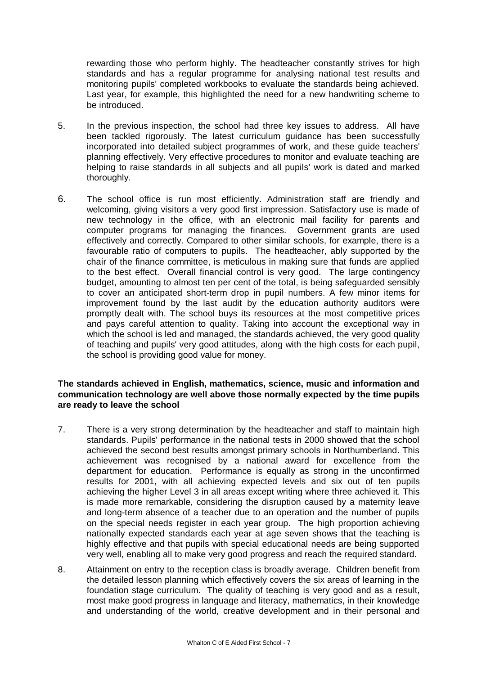rewarding those who perform highly. The headteacher constantly strives for high standards and has a regular programme for analysing national test results and monitoring pupils' completed workbooks to evaluate the standards being achieved. Last year, for example, this highlighted the need for a new handwriting scheme to be introduced.

- 5. In the previous inspection, the school had three key issues to address. All have been tackled rigorously. The latest curriculum guidance has been successfully incorporated into detailed subject programmes of work, and these guide teachers' planning effectively. Very effective procedures to monitor and evaluate teaching are helping to raise standards in all subjects and all pupils' work is dated and marked thoroughly.
- 6. The school office is run most efficiently. Administration staff are friendly and welcoming, giving visitors a very good first impression. Satisfactory use is made of new technology in the office, with an electronic mail facility for parents and computer programs for managing the finances. Government grants are used effectively and correctly. Compared to other similar schools, for example, there is a favourable ratio of computers to pupils. The headteacher, ably supported by the chair of the finance committee, is meticulous in making sure that funds are applied to the best effect. Overall financial control is very good. The large contingency budget, amounting to almost ten per cent of the total, is being safeguarded sensibly to cover an anticipated short-term drop in pupil numbers. A few minor items for improvement found by the last audit by the education authority auditors were promptly dealt with. The school buys its resources at the most competitive prices and pays careful attention to quality. Taking into account the exceptional way in which the school is led and managed, the standards achieved, the very good quality of teaching and pupils' very good attitudes, along with the high costs for each pupil, the school is providing good value for money.

#### **The standards achieved in English, mathematics, science, music and information and communication technology are well above those normally expected by the time pupils are ready to leave the school**

- 7. There is a very strong determination by the headteacher and staff to maintain high standards. Pupils' performance in the national tests in 2000 showed that the school achieved the second best results amongst primary schools in Northumberland. This achievement was recognised by a national award for excellence from the department for education. Performance is equally as strong in the unconfirmed results for 2001, with all achieving expected levels and six out of ten pupils achieving the higher Level 3 in all areas except writing where three achieved it. This is made more remarkable, considering the disruption caused by a maternity leave and long-term absence of a teacher due to an operation and the number of pupils on the special needs register in each year group. The high proportion achieving nationally expected standards each year at age seven shows that the teaching is highly effective and that pupils with special educational needs are being supported very well, enabling all to make very good progress and reach the required standard.
- 8. Attainment on entry to the reception class is broadly average. Children benefit from the detailed lesson planning which effectively covers the six areas of learning in the foundation stage curriculum. The quality of teaching is very good and as a result, most make good progress in language and literacy, mathematics, in their knowledge and understanding of the world, creative development and in their personal and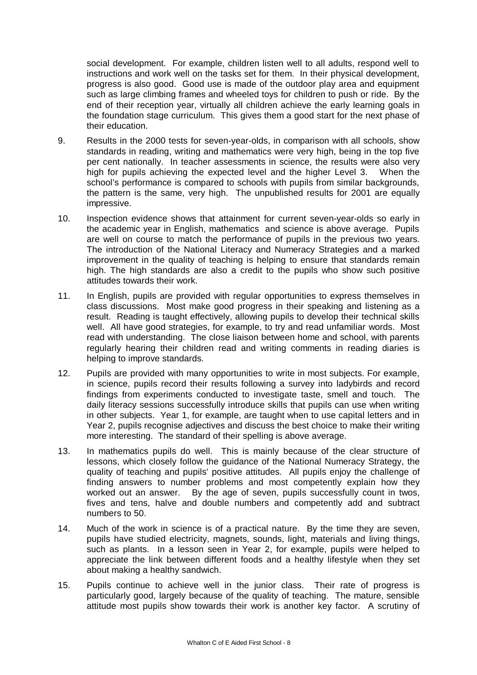social development. For example, children listen well to all adults, respond well to instructions and work well on the tasks set for them. In their physical development, progress is also good. Good use is made of the outdoor play area and equipment such as large climbing frames and wheeled toys for children to push or ride. By the end of their reception year, virtually all children achieve the early learning goals in the foundation stage curriculum. This gives them a good start for the next phase of their education.

- 9. Results in the 2000 tests for seven-year-olds, in comparison with all schools, show standards in reading, writing and mathematics were very high, being in the top five per cent nationally. In teacher assessments in science, the results were also very high for pupils achieving the expected level and the higher Level 3. When the school's performance is compared to schools with pupils from similar backgrounds, the pattern is the same, very high. The unpublished results for 2001 are equally impressive.
- 10. Inspection evidence shows that attainment for current seven-year-olds so early in the academic year in English, mathematics and science is above average. Pupils are well on course to match the performance of pupils in the previous two years. The introduction of the National Literacy and Numeracy Strategies and a marked improvement in the quality of teaching is helping to ensure that standards remain high. The high standards are also a credit to the pupils who show such positive attitudes towards their work.
- 11. In English, pupils are provided with regular opportunities to express themselves in class discussions. Most make good progress in their speaking and listening as a result. Reading is taught effectively, allowing pupils to develop their technical skills well. All have good strategies, for example, to try and read unfamiliar words. Most read with understanding. The close liaison between home and school, with parents regularly hearing their children read and writing comments in reading diaries is helping to improve standards.
- 12. Pupils are provided with many opportunities to write in most subjects. For example, in science, pupils record their results following a survey into ladybirds and record findings from experiments conducted to investigate taste, smell and touch. The daily literacy sessions successfully introduce skills that pupils can use when writing in other subjects. Year 1, for example, are taught when to use capital letters and in Year 2, pupils recognise adjectives and discuss the best choice to make their writing more interesting. The standard of their spelling is above average.
- 13. In mathematics pupils do well. This is mainly because of the clear structure of lessons, which closely follow the guidance of the National Numeracy Strategy, the quality of teaching and pupils' positive attitudes. All pupils enjoy the challenge of finding answers to number problems and most competently explain how they worked out an answer. By the age of seven, pupils successfully count in twos, fives and tens, halve and double numbers and competently add and subtract numbers to 50.
- 14. Much of the work in science is of a practical nature. By the time they are seven, pupils have studied electricity, magnets, sounds, light, materials and living things, such as plants. In a lesson seen in Year 2, for example, pupils were helped to appreciate the link between different foods and a healthy lifestyle when they set about making a healthy sandwich.
- 15. Pupils continue to achieve well in the junior class. Their rate of progress is particularly good, largely because of the quality of teaching. The mature, sensible attitude most pupils show towards their work is another key factor. A scrutiny of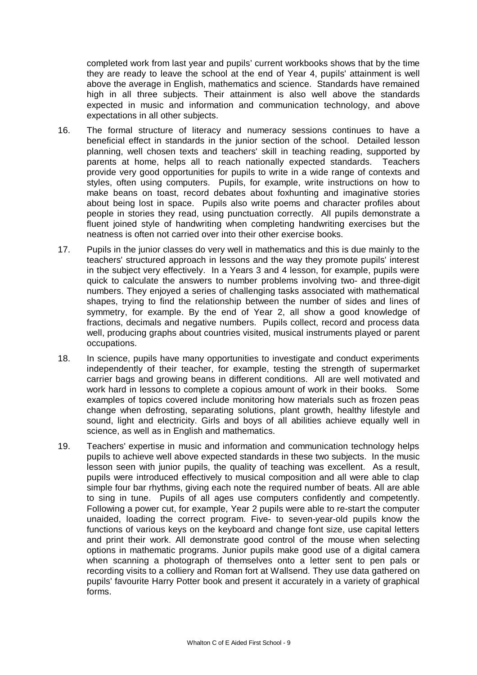completed work from last year and pupils' current workbooks shows that by the time they are ready to leave the school at the end of Year 4, pupils' attainment is well above the average in English, mathematics and science. Standards have remained high in all three subjects. Their attainment is also well above the standards expected in music and information and communication technology, and above expectations in all other subjects.

- 16. The formal structure of literacy and numeracy sessions continues to have a beneficial effect in standards in the junior section of the school. Detailed lesson planning, well chosen texts and teachers' skill in teaching reading, supported by parents at home, helps all to reach nationally expected standards. Teachers provide very good opportunities for pupils to write in a wide range of contexts and styles, often using computers. Pupils, for example, write instructions on how to make beans on toast, record debates about foxhunting and imaginative stories about being lost in space. Pupils also write poems and character profiles about people in stories they read, using punctuation correctly. All pupils demonstrate a fluent joined style of handwriting when completing handwriting exercises but the neatness is often not carried over into their other exercise books.
- 17. Pupils in the junior classes do very well in mathematics and this is due mainly to the teachers' structured approach in lessons and the way they promote pupils' interest in the subject very effectively. In a Years 3 and 4 lesson, for example, pupils were quick to calculate the answers to number problems involving two- and three-digit numbers. They enjoyed a series of challenging tasks associated with mathematical shapes, trying to find the relationship between the number of sides and lines of symmetry, for example. By the end of Year 2, all show a good knowledge of fractions, decimals and negative numbers. Pupils collect, record and process data well, producing graphs about countries visited, musical instruments played or parent occupations.
- 18. In science, pupils have many opportunities to investigate and conduct experiments independently of their teacher, for example, testing the strength of supermarket carrier bags and growing beans in different conditions. All are well motivated and work hard in lessons to complete a copious amount of work in their books. Some examples of topics covered include monitoring how materials such as frozen peas change when defrosting, separating solutions, plant growth, healthy lifestyle and sound, light and electricity. Girls and boys of all abilities achieve equally well in science, as well as in English and mathematics.
- 19. Teachers' expertise in music and information and communication technology helps pupils to achieve well above expected standards in these two subjects. In the music lesson seen with junior pupils, the quality of teaching was excellent. As a result, pupils were introduced effectively to musical composition and all were able to clap simple four bar rhythms, giving each note the required number of beats. All are able to sing in tune. Pupils of all ages use computers confidently and competently. Following a power cut, for example, Year 2 pupils were able to re-start the computer unaided, loading the correct program. Five- to seven-year-old pupils know the functions of various keys on the keyboard and change font size, use capital letters and print their work. All demonstrate good control of the mouse when selecting options in mathematic programs. Junior pupils make good use of a digital camera when scanning a photograph of themselves onto a letter sent to pen pals or recording visits to a colliery and Roman fort at Wallsend. They use data gathered on pupils' favourite Harry Potter book and present it accurately in a variety of graphical forms.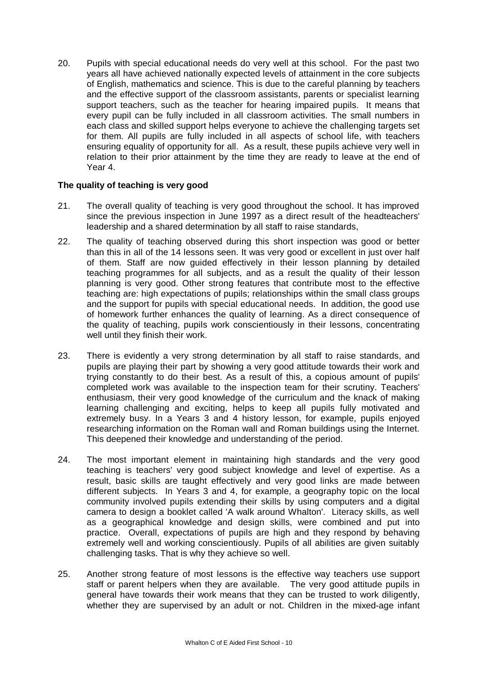20. Pupils with special educational needs do very well at this school. For the past two years all have achieved nationally expected levels of attainment in the core subjects of English, mathematics and science. This is due to the careful planning by teachers and the effective support of the classroom assistants, parents or specialist learning support teachers, such as the teacher for hearing impaired pupils. It means that every pupil can be fully included in all classroom activities. The small numbers in each class and skilled support helps everyone to achieve the challenging targets set for them. All pupils are fully included in all aspects of school life, with teachers ensuring equality of opportunity for all. As a result, these pupils achieve very well in relation to their prior attainment by the time they are ready to leave at the end of Year 4.

#### **The quality of teaching is very good**

- 21. The overall quality of teaching is very good throughout the school. It has improved since the previous inspection in June 1997 as a direct result of the headteachers' leadership and a shared determination by all staff to raise standards,
- 22. The quality of teaching observed during this short inspection was good or better than this in all of the 14 lessons seen. It was very good or excellent in just over half of them. Staff are now guided effectively in their lesson planning by detailed teaching programmes for all subjects, and as a result the quality of their lesson planning is very good. Other strong features that contribute most to the effective teaching are: high expectations of pupils; relationships within the small class groups and the support for pupils with special educational needs. In addition, the good use of homework further enhances the quality of learning. As a direct consequence of the quality of teaching, pupils work conscientiously in their lessons, concentrating well until they finish their work.
- 23. There is evidently a very strong determination by all staff to raise standards, and pupils are playing their part by showing a very good attitude towards their work and trying constantly to do their best. As a result of this, a copious amount of pupils' completed work was available to the inspection team for their scrutiny. Teachers' enthusiasm, their very good knowledge of the curriculum and the knack of making learning challenging and exciting, helps to keep all pupils fully motivated and extremely busy. In a Years 3 and 4 history lesson, for example, pupils enjoyed researching information on the Roman wall and Roman buildings using the Internet. This deepened their knowledge and understanding of the period.
- 24. The most important element in maintaining high standards and the very good teaching is teachers' very good subject knowledge and level of expertise. As a result, basic skills are taught effectively and very good links are made between different subjects. In Years 3 and 4, for example, a geography topic on the local community involved pupils extending their skills by using computers and a digital camera to design a booklet called 'A walk around Whalton'. Literacy skills, as well as a geographical knowledge and design skills, were combined and put into practice. Overall, expectations of pupils are high and they respond by behaving extremely well and working conscientiously. Pupils of all abilities are given suitably challenging tasks. That is why they achieve so well.
- 25. Another strong feature of most lessons is the effective way teachers use support staff or parent helpers when they are available. The very good attitude pupils in general have towards their work means that they can be trusted to work diligently, whether they are supervised by an adult or not. Children in the mixed-age infant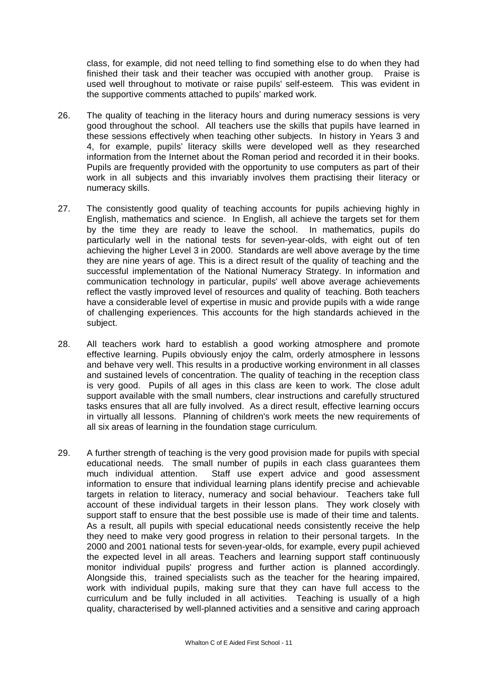class, for example, did not need telling to find something else to do when they had finished their task and their teacher was occupied with another group. Praise is used well throughout to motivate or raise pupils' self-esteem. This was evident in the supportive comments attached to pupils' marked work.

- 26. The quality of teaching in the literacy hours and during numeracy sessions is very good throughout the school. All teachers use the skills that pupils have learned in these sessions effectively when teaching other subjects. In history in Years 3 and 4, for example, pupils' literacy skills were developed well as they researched information from the Internet about the Roman period and recorded it in their books. Pupils are frequently provided with the opportunity to use computers as part of their work in all subjects and this invariably involves them practising their literacy or numeracy skills.
- 27. The consistently good quality of teaching accounts for pupils achieving highly in English, mathematics and science. In English, all achieve the targets set for them by the time they are ready to leave the school. In mathematics, pupils do particularly well in the national tests for seven-year-olds, with eight out of ten achieving the higher Level 3 in 2000. Standards are well above average by the time they are nine years of age. This is a direct result of the quality of teaching and the successful implementation of the National Numeracy Strategy. In information and communication technology in particular, pupils' well above average achievements reflect the vastly improved level of resources and quality of teaching. Both teachers have a considerable level of expertise in music and provide pupils with a wide range of challenging experiences. This accounts for the high standards achieved in the subject.
- 28. All teachers work hard to establish a good working atmosphere and promote effective learning. Pupils obviously enjoy the calm, orderly atmosphere in lessons and behave very well. This results in a productive working environment in all classes and sustained levels of concentration. The quality of teaching in the reception class is very good. Pupils of all ages in this class are keen to work. The close adult support available with the small numbers, clear instructions and carefully structured tasks ensures that all are fully involved. As a direct result, effective learning occurs in virtually all lessons. Planning of children's work meets the new requirements of all six areas of learning in the foundation stage curriculum.
- 29. A further strength of teaching is the very good provision made for pupils with special educational needs. The small number of pupils in each class guarantees them much individual attention. Staff use expert advice and good assessment information to ensure that individual learning plans identify precise and achievable targets in relation to literacy, numeracy and social behaviour. Teachers take full account of these individual targets in their lesson plans. They work closely with support staff to ensure that the best possible use is made of their time and talents. As a result, all pupils with special educational needs consistently receive the help they need to make very good progress in relation to their personal targets. In the 2000 and 2001 national tests for seven-year-olds, for example, every pupil achieved the expected level in all areas. Teachers and learning support staff continuously monitor individual pupils' progress and further action is planned accordingly. Alongside this, trained specialists such as the teacher for the hearing impaired, work with individual pupils, making sure that they can have full access to the curriculum and be fully included in all activities. Teaching is usually of a high quality, characterised by well-planned activities and a sensitive and caring approach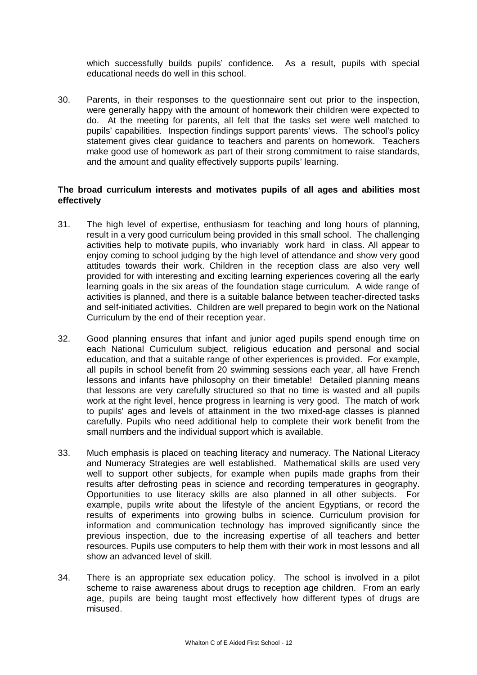which successfully builds pupils' confidence. As a result, pupils with special educational needs do well in this school.

30. Parents, in their responses to the questionnaire sent out prior to the inspection, were generally happy with the amount of homework their children were expected to do. At the meeting for parents, all felt that the tasks set were well matched to pupils' capabilities. Inspection findings support parents' views. The school's policy statement gives clear guidance to teachers and parents on homework. Teachers make good use of homework as part of their strong commitment to raise standards, and the amount and quality effectively supports pupils' learning.

#### **The broad curriculum interests and motivates pupils of all ages and abilities most effectively**

- 31. The high level of expertise, enthusiasm for teaching and long hours of planning, result in a very good curriculum being provided in this small school. The challenging activities help to motivate pupils, who invariably work hard in class. All appear to enjoy coming to school judging by the high level of attendance and show very good attitudes towards their work. Children in the reception class are also very well provided for with interesting and exciting learning experiences covering all the early learning goals in the six areas of the foundation stage curriculum. A wide range of activities is planned, and there is a suitable balance between teacher-directed tasks and self-initiated activities. Children are well prepared to begin work on the National Curriculum by the end of their reception year.
- 32. Good planning ensures that infant and junior aged pupils spend enough time on each National Curriculum subject, religious education and personal and social education, and that a suitable range of other experiences is provided. For example, all pupils in school benefit from 20 swimming sessions each year, all have French lessons and infants have philosophy on their timetable! Detailed planning means that lessons are very carefully structured so that no time is wasted and all pupils work at the right level, hence progress in learning is very good. The match of work to pupils' ages and levels of attainment in the two mixed-age classes is planned carefully. Pupils who need additional help to complete their work benefit from the small numbers and the individual support which is available.
- 33. Much emphasis is placed on teaching literacy and numeracy. The National Literacy and Numeracy Strategies are well established. Mathematical skills are used very well to support other subjects, for example when pupils made graphs from their results after defrosting peas in science and recording temperatures in geography. Opportunities to use literacy skills are also planned in all other subjects. For example, pupils write about the lifestyle of the ancient Egyptians, or record the results of experiments into growing bulbs in science. Curriculum provision for information and communication technology has improved significantly since the previous inspection, due to the increasing expertise of all teachers and better resources. Pupils use computers to help them with their work in most lessons and all show an advanced level of skill.
- 34. There is an appropriate sex education policy. The school is involved in a pilot scheme to raise awareness about drugs to reception age children. From an early age, pupils are being taught most effectively how different types of drugs are misused.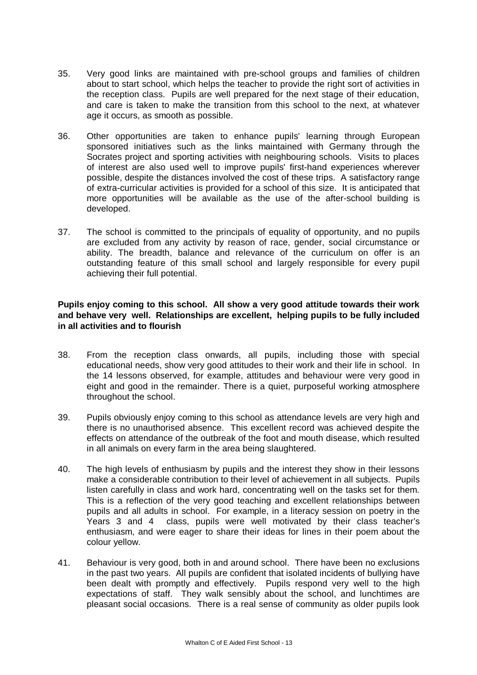- 35. Very good links are maintained with pre-school groups and families of children about to start school, which helps the teacher to provide the right sort of activities in the reception class. Pupils are well prepared for the next stage of their education, and care is taken to make the transition from this school to the next, at whatever age it occurs, as smooth as possible.
- 36. Other opportunities are taken to enhance pupils' learning through European sponsored initiatives such as the links maintained with Germany through the Socrates project and sporting activities with neighbouring schools. Visits to places of interest are also used well to improve pupils' first-hand experiences wherever possible, despite the distances involved the cost of these trips. A satisfactory range of extra-curricular activities is provided for a school of this size. It is anticipated that more opportunities will be available as the use of the after-school building is developed.
- 37. The school is committed to the principals of equality of opportunity, and no pupils are excluded from any activity by reason of race, gender, social circumstance or ability. The breadth, balance and relevance of the curriculum on offer is an outstanding feature of this small school and largely responsible for every pupil achieving their full potential.

#### **Pupils enjoy coming to this school. All show a very good attitude towards their work and behave very well. Relationships are excellent, helping pupils to be fully included in all activities and to flourish**

- 38. From the reception class onwards, all pupils, including those with special educational needs, show very good attitudes to their work and their life in school. In the 14 lessons observed, for example, attitudes and behaviour were very good in eight and good in the remainder. There is a quiet, purposeful working atmosphere throughout the school.
- 39. Pupils obviously enjoy coming to this school as attendance levels are very high and there is no unauthorised absence. This excellent record was achieved despite the effects on attendance of the outbreak of the foot and mouth disease, which resulted in all animals on every farm in the area being slaughtered.
- 40. The high levels of enthusiasm by pupils and the interest they show in their lessons make a considerable contribution to their level of achievement in all subjects. Pupils listen carefully in class and work hard, concentrating well on the tasks set for them. This is a reflection of the very good teaching and excellent relationships between pupils and all adults in school. For example, in a literacy session on poetry in the Years 3 and 4 class, pupils were well motivated by their class teacher's enthusiasm, and were eager to share their ideas for lines in their poem about the colour yellow.
- 41. Behaviour is very good, both in and around school. There have been no exclusions in the past two years. All pupils are confident that isolated incidents of bullying have been dealt with promptly and effectively. Pupils respond very well to the high expectations of staff. They walk sensibly about the school, and lunchtimes are pleasant social occasions. There is a real sense of community as older pupils look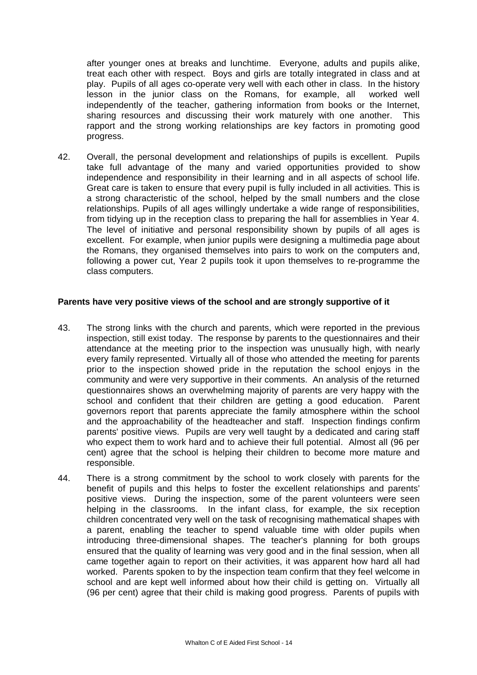after younger ones at breaks and lunchtime. Everyone, adults and pupils alike, treat each other with respect. Boys and girls are totally integrated in class and at play. Pupils of all ages co-operate very well with each other in class. In the history lesson in the junior class on the Romans, for example, all worked well independently of the teacher, gathering information from books or the Internet, sharing resources and discussing their work maturely with one another. This rapport and the strong working relationships are key factors in promoting good progress.

42. Overall, the personal development and relationships of pupils is excellent. Pupils take full advantage of the many and varied opportunities provided to show independence and responsibility in their learning and in all aspects of school life. Great care is taken to ensure that every pupil is fully included in all activities. This is a strong characteristic of the school, helped by the small numbers and the close relationships. Pupils of all ages willingly undertake a wide range of responsibilities, from tidying up in the reception class to preparing the hall for assemblies in Year 4. The level of initiative and personal responsibility shown by pupils of all ages is excellent. For example, when junior pupils were designing a multimedia page about the Romans, they organised themselves into pairs to work on the computers and, following a power cut, Year 2 pupils took it upon themselves to re-programme the class computers.

#### **Parents have very positive views of the school and are strongly supportive of it**

- 43. The strong links with the church and parents, which were reported in the previous inspection, still exist today. The response by parents to the questionnaires and their attendance at the meeting prior to the inspection was unusually high, with nearly every family represented. Virtually all of those who attended the meeting for parents prior to the inspection showed pride in the reputation the school enjoys in the community and were very supportive in their comments. An analysis of the returned questionnaires shows an overwhelming majority of parents are very happy with the school and confident that their children are getting a good education. Parent governors report that parents appreciate the family atmosphere within the school and the approachability of the headteacher and staff. Inspection findings confirm parents' positive views. Pupils are very well taught by a dedicated and caring staff who expect them to work hard and to achieve their full potential. Almost all (96 per cent) agree that the school is helping their children to become more mature and responsible.
- 44. There is a strong commitment by the school to work closely with parents for the benefit of pupils and this helps to foster the excellent relationships and parents' positive views. During the inspection, some of the parent volunteers were seen helping in the classrooms. In the infant class, for example, the six reception children concentrated very well on the task of recognising mathematical shapes with a parent, enabling the teacher to spend valuable time with older pupils when introducing three-dimensional shapes. The teacher's planning for both groups ensured that the quality of learning was very good and in the final session, when all came together again to report on their activities, it was apparent how hard all had worked. Parents spoken to by the inspection team confirm that they feel welcome in school and are kept well informed about how their child is getting on. Virtually all (96 per cent) agree that their child is making good progress. Parents of pupils with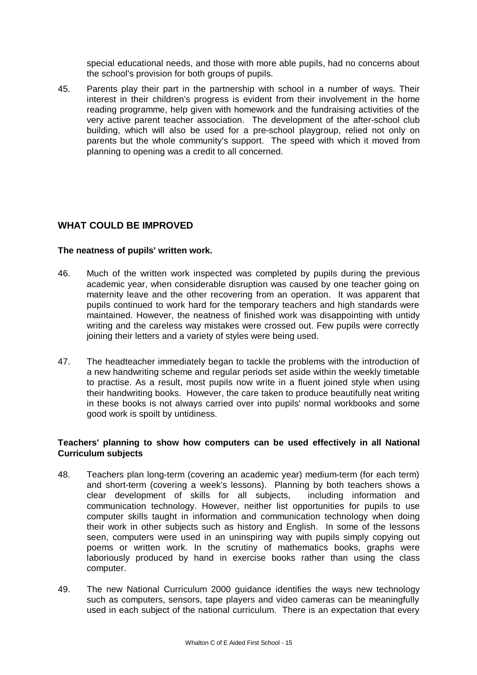special educational needs, and those with more able pupils, had no concerns about the school's provision for both groups of pupils.

45. Parents play their part in the partnership with school in a number of ways. Their interest in their children's progress is evident from their involvement in the home reading programme, help given with homework and the fundraising activities of the very active parent teacher association. The development of the after-school club building, which will also be used for a pre-school playgroup, relied not only on parents but the whole community's support. The speed with which it moved from planning to opening was a credit to all concerned.

# WHAT COULD BE IMPROVED

#### **The neatness of pupils' written work.**

- 46. Much of the written work inspected was completed by pupils during the previous academic year, when considerable disruption was caused by one teacher going on maternity leave and the other recovering from an operation. It was apparent that pupils continued to work hard for the temporary teachers and high standards were maintained. However, the neatness of finished work was disappointing with untidy writing and the careless way mistakes were crossed out. Few pupils were correctly joining their letters and a variety of styles were being used.
- 47. The headteacher immediately began to tackle the problems with the introduction of a new handwriting scheme and regular periods set aside within the weekly timetable to practise. As a result, most pupils now write in a fluent joined style when using their handwriting books. However, the care taken to produce beautifully neat writing in these books is not always carried over into pupils' normal workbooks and some good work is spoilt by untidiness.

#### **Teachers' planning to show how computers can be used effectively in all National Curriculum subjects**

- 48. Teachers plan long-term (covering an academic year) medium-term (for each term) and short-term (covering a week's lessons). Planning by both teachers shows a clear development of skills for all subjects, including information and communication technology. However, neither list opportunities for pupils to use computer skills taught in information and communication technology when doing their work in other subjects such as history and English. In some of the lessons seen, computers were used in an uninspiring way with pupils simply copying out poems or written work. In the scrutiny of mathematics books, graphs were laboriously produced by hand in exercise books rather than using the class computer.
- 49. The new National Curriculum 2000 guidance identifies the ways new technology such as computers, sensors, tape players and video cameras can be meaningfully used in each subject of the national curriculum. There is an expectation that every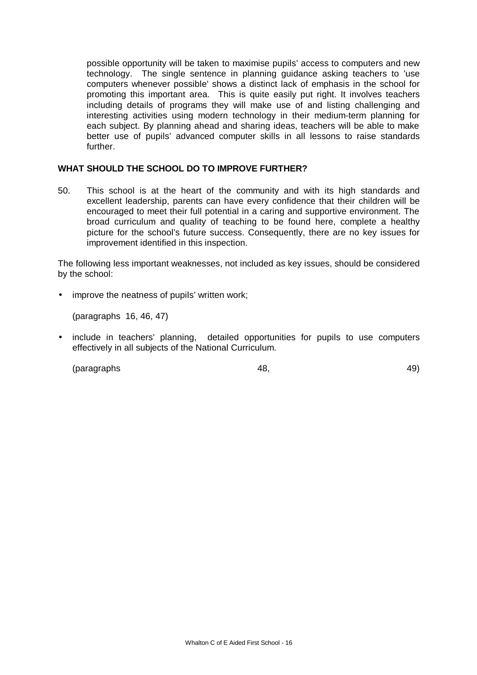possible opportunity will be taken to maximise pupils' access to computers and new technology. The single sentence in planning guidance asking teachers to 'use computers whenever possible' shows a distinct lack of emphasis in the school for promoting this important area. This is quite easily put right. It involves teachers including details of programs they will make use of and listing challenging and interesting activities using modern technology in their medium-term planning for each subject. By planning ahead and sharing ideas, teachers will be able to make better use of pupils' advanced computer skills in all lessons to raise standards further.

#### **WHAT SHOULD THE SCHOOL DO TO IMPROVE FURTHER?**

50. This school is at the heart of the community and with its high standards and excellent leadership, parents can have every confidence that their children will be encouraged to meet their full potential in a caring and supportive environment. The broad curriculum and quality of teaching to be found here, complete a healthy picture for the school's future success. Consequently, there are no key issues for improvement identified in this inspection.

The following less important weaknesses, not included as key issues, should be considered by the school:

• improve the neatness of pupils' written work:

(paragraphs 16, 46, 47)

• include in teachers' planning, detailed opportunities for pupils to use computers effectively in all subjects of the National Curriculum.

(paragraphs 48, 49)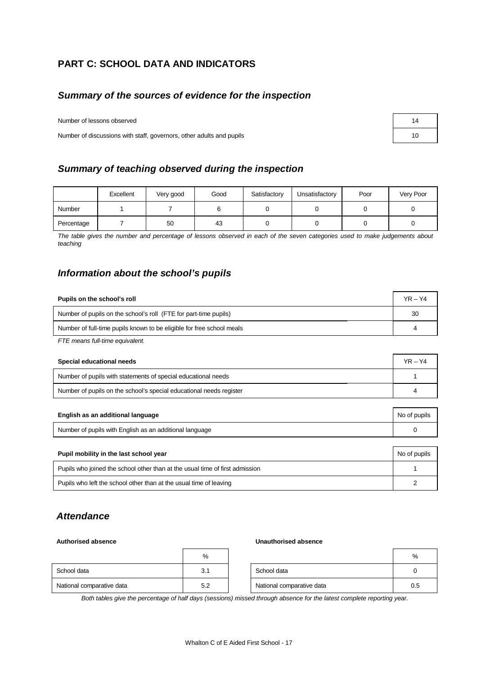# **PART C: SCHOOL DATA AND INDICATORS**

# *Summary of the sources of evidence for the inspection*

Number of lessons observed

Number of discussions with staff, governors, other adults and pupils

|  |  |  | Summary of teaching observed during the inspection |
|--|--|--|----------------------------------------------------|
|  |  |  |                                                    |

|            | Excellent | Very good | Good | Satisfactory | Unsatisfactory | Poor | Very Poor |
|------------|-----------|-----------|------|--------------|----------------|------|-----------|
| Number     |           |           |      |              |                |      |           |
| Percentage |           | 50        | 43   |              |                |      |           |

*The table gives the number and percentage of lessons observed in each of the seven categories used to make judgements about teaching*

# *Information about the school's pupils*

| Pupils on the school's roll                                           | $YR - Y4$ |
|-----------------------------------------------------------------------|-----------|
| Number of pupils on the school's roll (FTE for part-time pupils)      | 30        |
| Number of full-time pupils known to be eligible for free school meals |           |
| $\Gamma\Gamma\Gamma$ means full time squirelant                       |           |

*FTE means full-time equivalent.*

| Special educational needs                                           | $YR - Y4$    |  |
|---------------------------------------------------------------------|--------------|--|
| Number of pupils with statements of special educational needs       |              |  |
| Number of pupils on the school's special educational needs register |              |  |
|                                                                     |              |  |
| English as an additional language                                   | No of pupils |  |

| Luguon ao an'aaannonariangaago                                               | <b>UTO OF PUPIL</b> |  |  |  |
|------------------------------------------------------------------------------|---------------------|--|--|--|
| Number of pupils with English as an additional language                      |                     |  |  |  |
|                                                                              |                     |  |  |  |
| Pupil mobility in the last school year                                       | No of pupils        |  |  |  |
| Pupils who joined the school other than at the usual time of first admission |                     |  |  |  |

Pupils who left the school other than at the usual time of leaving **2** 2

# *Attendance*

#### **Authorised absence Unauthorised absence**

|                           | %   |                           | %   |
|---------------------------|-----|---------------------------|-----|
| School data               | 3.1 | School data               | 0   |
| National comparative data | 5.2 | National comparative data | 0.5 |

*Both tables give the percentage of half days (sessions) missed through absence for the latest complete reporting year.*

| 14 |  |
|----|--|
| 10 |  |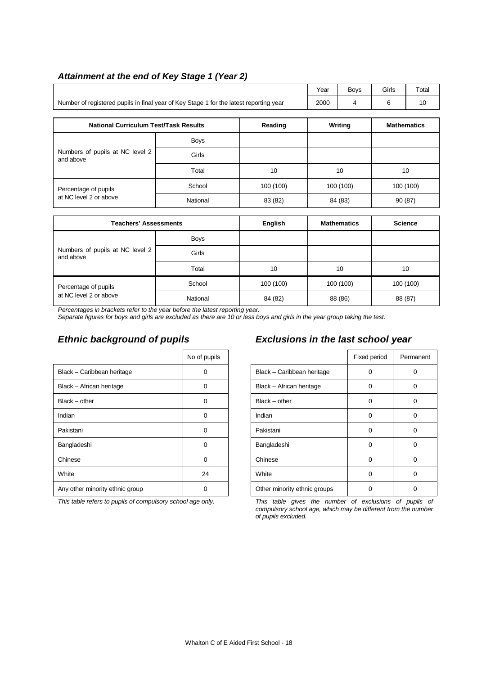| Attainment at the end of Key Stage 1 (Year 2) |  |
|-----------------------------------------------|--|
|-----------------------------------------------|--|

|                                                                                        | Year | <b>Bovs</b> | Girls | Total |
|----------------------------------------------------------------------------------------|------|-------------|-------|-------|
| Number of registered pupils in final year of Key Stage 1 for the latest reporting year | 2000 |             |       |       |

| <b>National Curriculum Test/Task Results</b> |             | Reading   | Writing   | <b>Mathematics</b> |
|----------------------------------------------|-------------|-----------|-----------|--------------------|
|                                              | <b>Boys</b> |           |           |                    |
| Numbers of pupils at NC level 2<br>and above | Girls       |           |           |                    |
|                                              | Total       | 10        | 10        | 10                 |
| Percentage of pupils                         | School      | 100 (100) | 100 (100) | 100 (100)          |
| at NC level 2 or above                       | National    | 83 (82)   | 84 (83)   | 90 (87)            |

| <b>Teachers' Assessments</b>                 |             | <b>English</b> | <b>Mathematics</b> | <b>Science</b> |
|----------------------------------------------|-------------|----------------|--------------------|----------------|
|                                              | <b>Boys</b> |                |                    |                |
| Numbers of pupils at NC level 2<br>and above | Girls       |                |                    |                |
|                                              | Total       | 10             | 10                 | 10             |
| Percentage of pupils                         | School      | 100 (100)      | 100 (100)          | 100 (100)      |
| at NC level 2 or above                       | National    | 84 (82)        | 88 (86)            | 88 (87)        |

*Percentages in brackets refer to the year before the latest reporting year.*

*Separate figures for boys and girls are excluded as there are 10 or less boys and girls in the year group taking the test.*

|                                 | No of pupils |                              | Fixed period | Perma |
|---------------------------------|--------------|------------------------------|--------------|-------|
| Black - Caribbean heritage      | 0            | Black - Caribbean heritage   | 0            | 0     |
| Black - African heritage        | $\Omega$     | Black - African heritage     | $\Omega$     | 0     |
| $Black - other$                 | 0            | $Black - other$              | 0            | 0     |
| Indian                          | $\Omega$     | Indian                       | $\Omega$     | 0     |
| Pakistani                       | $\Omega$     | Pakistani                    | $\Omega$     | 0     |
| Bangladeshi                     | $\Omega$     | Bangladeshi                  | $\Omega$     | 0     |
| Chinese                         | 0            | Chinese                      | $\Omega$     | 0     |
| White                           | 24           | White                        | 0            | 0     |
| Any other minority ethnic group | 0            | Other minority ethnic groups | $\Omega$     | 0     |
|                                 |              |                              |              |       |

# *Ethnic background of pupils Exclusions in the last school year*

| No of pupils |                              | Fixed period | Permanent |
|--------------|------------------------------|--------------|-----------|
| O            | Black - Caribbean heritage   | 0            | 0         |
| ŋ            | Black - African heritage     | 0            | 0         |
| 0            | $Black - other$              | 0            | 0         |
| n            | Indian                       | 0            | 0         |
| ŋ            | Pakistani                    | 0            | 0         |
| n            | Bangladeshi                  | 0            | 0         |
| O            | Chinese                      | 0            | 0         |
| 24           | White                        | 0            | 0         |
|              | Other minority ethnic groups |              | 0         |

*This table refers to pupils of compulsory school age only. This table gives the number of exclusions of pupils of compulsory school age, which may be different from the number of pupils excluded.*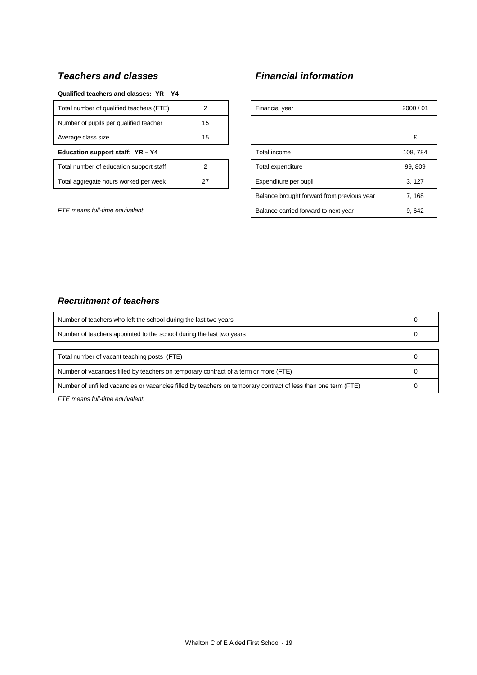# *Teachers and classes Financial information*

#### **Qualified teachers and classes: YR – Y4**

| Total number of qualified teachers (FTE) |    | Financial year        | 2000 |
|------------------------------------------|----|-----------------------|------|
| Number of pupils per qualified teacher   | 15 |                       |      |
| Average class size                       | 15 |                       | £    |
| Education support staff: YR - Y4         |    | Total income          | 108, |
| Total number of education support staff  |    | Total expenditure     | 99.8 |
| Total aggregate hours worked per week    |    | Expenditure per pupil | 3.1  |

| Total number of qualified teachers (FTE) | $\mathcal{P}$ | Financial year                             | 2000/01  |
|------------------------------------------|---------------|--------------------------------------------|----------|
| Number of pupils per qualified teacher   | 15            |                                            |          |
| Average class size                       | 15            |                                            | £        |
| Education support staff: YR-Y4           |               | Total income                               | 108, 784 |
| Total number of education support staff  | 2             | Total expenditure                          | 99, 809  |
| Total aggregate hours worked per week    | 27            | Expenditure per pupil                      | 3, 127   |
|                                          |               | Balance brought forward from previous year | 7, 168   |
| FTE means full-time equivalent           |               | Balance carried forward to next year       | 9,642    |

### *Recruitment of teachers*

| Number of teachers who left the school during the last two years                                               |  |
|----------------------------------------------------------------------------------------------------------------|--|
| Number of teachers appointed to the school during the last two years                                           |  |
|                                                                                                                |  |
| Total number of vacant teaching posts (FTE)                                                                    |  |
| Number of vacancies filled by teachers on temporary contract of a term or more (FTE)                           |  |
| Number of unfilled vacancies or vacancies filled by teachers on temporary contract of less than one term (FTE) |  |

*FTE means full-time equivalent.*